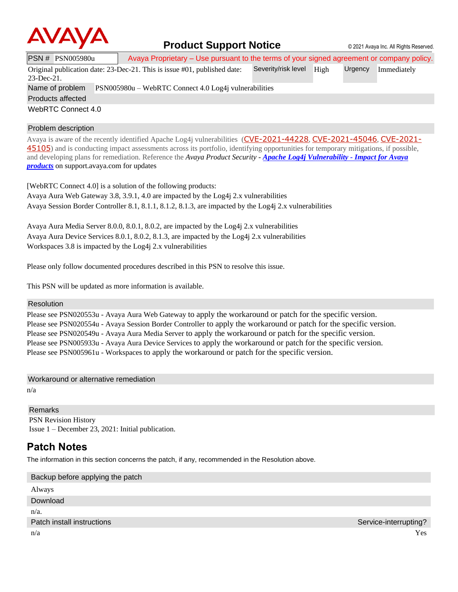

## **Product Support Notice** © 2021 Avaya Inc. All Rights Reserved.

|                          | <b>PSN # PSN005980u</b>                                                  |  | Avaya Proprietary – Use pursuant to the terms of your signed agreement or company policy. |                     |      |         |             |  |
|--------------------------|--------------------------------------------------------------------------|--|-------------------------------------------------------------------------------------------|---------------------|------|---------|-------------|--|
|                          |                                                                          |  | Original publication date: 23-Dec-21. This is issue #01, published date:                  | Severity/risk level | High | Urgency | Immediately |  |
| $23$ -Dec-21.            |                                                                          |  |                                                                                           |                     |      |         |             |  |
|                          | Name of problem<br>PSN005980u – WebRTC Connect 4.0 Log4j vulnerabilities |  |                                                                                           |                     |      |         |             |  |
| <b>Products affected</b> |                                                                          |  |                                                                                           |                     |      |         |             |  |
| WebRTC Connect 4.0       |                                                                          |  |                                                                                           |                     |      |         |             |  |

#### Problem description

Avaya is aware of the recently identified Apache Log4j vulnerabilities ([CVE-2021-44228](https://cve.mitre.org/cgi-bin/cvename.cgi?name=CVE-2021-44228), [CVE-2021-45046](https://cve.mitre.org/cgi-bin/cvename.cgi?name=CVE-2021-45046), [CVE-2021-](https://cve.mitre.org/cgi-bin/cvename.cgi?name=CVE-2021-45105) [45105](https://cve.mitre.org/cgi-bin/cvename.cgi?name=CVE-2021-45105)) and is conducting impact assessments across its portfolio, identifying opportunities for temporary mitigations, if possible, and developing plans for remediation. Reference the *Avaya Product Security - Apache Log4j Vulnerability - [Impact for Avaya](http://www.avaya.com/emergencyupdate)  [products](http://www.avaya.com/emergencyupdate)* on support.avaya.com for updates

[WebRTC Connect 4.0] is a solution of the following products: Avaya Aura Web Gateway 3.8, 3.9.1, 4.0 are impacted by the Log4j 2.x vulnerabilities Avaya Session Border Controller 8.1, 8.1.1, 8.1.2, 8.1.3, are impacted by the Log4j 2.x vulnerabilities

Avaya Aura Media Server 8.0.0, 8.0.1, 8.0.2, are impacted by the Log4j 2.x vulnerabilities Avaya Aura Device Services 8.0.1, 8.0.2, 8.1.3, are impacted by the Log4j 2.x vulnerabilities Workspaces 3.8 is impacted by the Log4j 2.x vulnerabilities

Please only follow documented procedures described in this PSN to resolve this issue.

This PSN will be updated as more information is available.

#### Resolution

Please see PSN020553u - Avaya Aura Web Gateway to apply the workaround or patch for the specific version. Please see PSN020554u - Avaya Session Border Controller to apply the workaround or patch for the specific version. Please see PSN020549u - Avaya Aura Media Server to apply the workaround or patch for the specific version. Please see PSN005933u - Avaya Aura Device Services to apply the workaround or patch for the specific version. Please see PSN005961u - Workspaces to apply the workaround or patch for the specific version.

Workaround or alternative remediation

n/a

Remarks PSN Revision History Issue 1 – December 23, 2021: Initial publication.

### **Patch Notes**

The information in this section concerns the patch, if any, recommended in the Resolution above.

| Service-interrupting? |
|-----------------------|
| Yes.                  |
|                       |